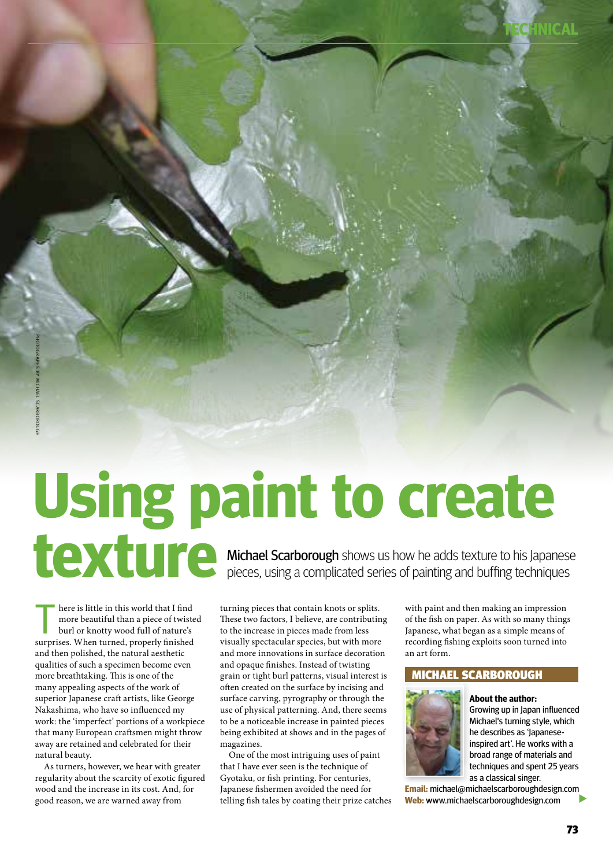# **Using paint to create texture** Michael Scarborough shows us how he adds texture to his Japanese pieces, using a complicated series of painting and buffing techniques

here is little in this world that I find<br>more beautiful than a piece of twists<br>burl or knotty wood full of nature's more beautiful than a piece of twisted burl or knotty wood full of nature's surprises. When turned, properly finished and then polished, the natural aesthetic qualities of such a specimen become even more breathtaking. This is one of the many appealing aspects of the work of superior Japanese craft artists, like George Nakashima, who have so influenced my work: the 'imperfect' portions of a workpiece that many European craftsmen might throw away are retained and celebrated for their natural beauty.

As turners, however, we hear with greater regularity about the scarcity of exotic figured wood and the increase in its cost. And, for good reason, we are warned away from

turning pieces that contain knots or splits. These two factors, I believe, are contributing to the increase in pieces made from less visually spectacular species, but with more and more innovations in surface decoration and opaque finishes. Instead of twisting grain or tight burl patterns, visual interest is often created on the surface by incising and surface carving, pyrography or through the use of physical patterning. And, there seems to be a noticeable increase in painted pieces being exhibited at shows and in the pages of magazines.

One of the most intriguing uses of paint that I have ever seen is the technique of Gyotaku, or fish printing. For centuries, Japanese fishermen avoided the need for telling fish tales by coating their prize catches with paint and then making an impression of the fish on paper. As with so many things Japanese, what began as a simple means of recording fishing exploits soon turned into an art form.

### Michael scarborough



**About the author:** Growing up in Japan influenced Michael's turning style, which he describes as 'Japaneseinspired art'. He works with a broad range of materials and techniques and spent 25 years as a classical singer.

**TECHNICAL**

 $\blacktriangleright$ **Email:** michael@michaelscarboroughdesign.com **Web:** www.michaelscarboroughdesign.com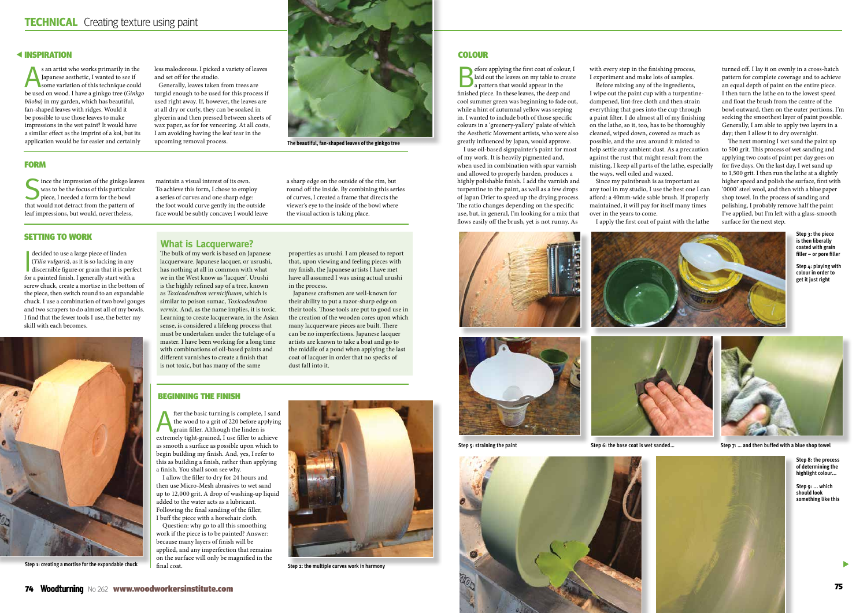### **< INSPIRATION**

 $\blacktriangleright$ 

**Step 3: the piece is then liberally coated with grain filler – or pore filler**

s an artist who works primarily in the Japanese aesthetic, I wanted to see if<br>Japanese aesthetic, I wanted to see if<br>the variation of this technique could Japanese aesthetic, I wanted to see if be used on wood. I have a ginkgo tree (*Ginkgo biloba*) in my garden, which has beautiful, fan-shaped leaves with ridges. Would it be possible to use those leaves to make impressions in the wet paint? It would have a similar effect as the imprint of a koi, but its application would be far easier and certainly

less malodorous. I picked a variety of leaves and set off for the studio.

 $\bigcap$  ince the impression of the ginkgo leaves was to be the focus of this particular piece, I needed a form for the bowl that would not detract from the pattern of leaf impressions, but would, nevertheless,

 Generally, leaves taken from trees are turgid enough to be used for this process if used right away. If, however, the leaves are at all dry or curly, they can be soaked in glycerin and then pressed between sheets of wax paper, as for for veneering. At all costs, I am avoiding having the leaf tear in the upcoming removal process.

> **Step 4: playing with colour in order to get it just right**







**The beautiful, fan-shaped leaves of the ginkgo tree**

### **FORM**

fter the basic turning is complete, I sand<br>the wood to a grit of 220 before applying<br>grain filler. Although the linden is<br>writing the filler shipse the wood to a grit of 220 before applying grain filler. Although the linden is extremely tight-grained, I use filler to achieve as smooth a surface as possible upon which to begin building my finish. And, yes, I refer to this as building a finish, rather than applying a finish. You shall soon see why.

maintain a visual interest of its own. To achieve this form, I chose to employ a series of curves and one sharp edge: the foot would curve gently in; the outside face would be subtly concave; I would leave a sharp edge on the outside of the rim, but round off the inside. By combining this series of curves, I created a frame that directs the viewer's eye to the inside of the bowl where the visual action is taking place.

### Setting to work



**Step 1: creating a mortise for the expandable chuck**

### Beginning the finish

I allow the filler to dry for 24 hours and then use Micro-Mesh abrasives to wet sand up to 12,000 grit. A drop of washing-up liquid added to the water acts as a lubricant. Following the final sanding of the filler, I buff the piece with a horsehair cloth.

Question: why go to all this smoothing work if the piece is to be painted? Answer: because many layers of finish will be applied, and any imperfection that remains on the surface will only be magnified in the final coat. **Step 2: the multiple curves work in harmony**



### **COLOUR**

Before applying the first coat of colour, I laid out the leaves on my table to create a pattern that would appear in the finished piece. In these leaves, the deep and cool summer green was beginning to fade out, while a hint of autumnal yellow was seeping in. I wanted to include both of those specific colours in a 'greenery-yallery' palate of which the Aesthetic Movement artists, who were also greatly influenced by Japan, would approve.

I use oil-based signpainter's paint for most of my work. It is heavily pigmented and, when used in combination with spar varnish and allowed to properly harden, produces a highly polishable finish. I add the varnish and turpentine to the paint, as well as a few drops of Japan Drier to speed up the drying process. The ratio changes depending on the specific use, but, in general, I'm looking for a mix that flows easily off the brush, yet is not runny. As







decided to use a large piece of linden<br>
(*Tilia vulgaris*), as it is so lacking in an<br>
discernible figure or grain that it is po<br>
figure of grain that it is the solution (*Tilia vulgaris*), as it is so lacking in any discernible figure or grain that it is perfect for a painted finish. I generally start with a screw chuck, create a mortise in the bottom of the piece, then switch round to an expandable chuck. I use a combination of two bowl gouges and two scrapers to do almost all of my bowls. I find that the fewer tools I use, the better my skill with each becomes.

with every step in the finishing process, I experiment and make lots of samples. Before mixing any of the ingredients, I wipe out the paint cup with a turpentinedampened, lint-free cloth and then strain everything that goes into the cup through a paint filter. I do almost all of my finishing on the lathe, so it, too, has to be thoroughly cleaned, wiped down, covered as much as possible, and the area around it misted to help settle any ambient dust. As a precaution against the rust that might result from the misting, I keep all parts of the lathe, especially the ways, well oiled and waxed.

Since my paintbrush is as important as any tool in my studio, I use the best one I can afford: a 40mm-wide sable brush. If properly maintained, it will pay for itself many times over in the years to come.

I apply the first coat of paint with the lathe

turned off. I lay it on evenly in a cross-hatch pattern for complete coverage and to achieve an equal depth of paint on the entire piece. I then turn the lathe on to the lowest speed and float the brush from the centre of the bowl outward, then on the outer portions. I'm seeking the smoothest layer of paint possible. Generally, I am able to apply two layers in a day; then I allow it to dry overnight.

The next morning I wet sand the paint up to 500 grit. This process of wet sanding and applying two coats of paint per day goes on for five days. On the last day, I wet sand up to 1,500 grit. I then run the lathe at a slightly higher speed and polish the surface, first with '0000' steel wool, and then with a blue paper shop towel. In the process of sanding and polishing, I probably remove half the paint I've applied, but I'm left with a glass-smooth surface for the next step.



**Step 5: straining the paint Step 6: the base coat is wet sanded… Step 7: … and then buffed with a blue shop towel**



**Step 9: ... which should look something like this**

The bulk of my work is based on Japanese lacquerware. Japanese lacquer, or usrushi, has nothing at all in common with what we in the West know as 'lacquer'. Urushi is the highly refined sap of a tree, known as *Toxicodendron vernicifluum*, which is similar to poison sumac, *Toxicodendron vernix*. And, as the name implies, it is toxic. Learning to create lacquerware, in the Asian sense, is considered a lifelong process that must be undertaken under the tutelage of a master. I have been working for a long time with combinations of oil-based paints and different varnishes to create a finish that is not toxic, but has many of the same

properties as urushi. I am pleased to report that, upon viewing and feeling pieces with my finish, the Japanese artists I have met have all assumed I was using actual urushi in the process.

 Japanese craftsmen are well-known for their ability to put a razor-sharp edge on their tools. Those tools are put to good use in the creation of the wooden cores upon which many lacquerware pieces are built. There can be no imperfections. Japanese lacquer artists are known to take a boat and go to the middle of a pond when applying the last coat of lacquer in order that no specks of dust fall into it.

**What is Lacquerware?**